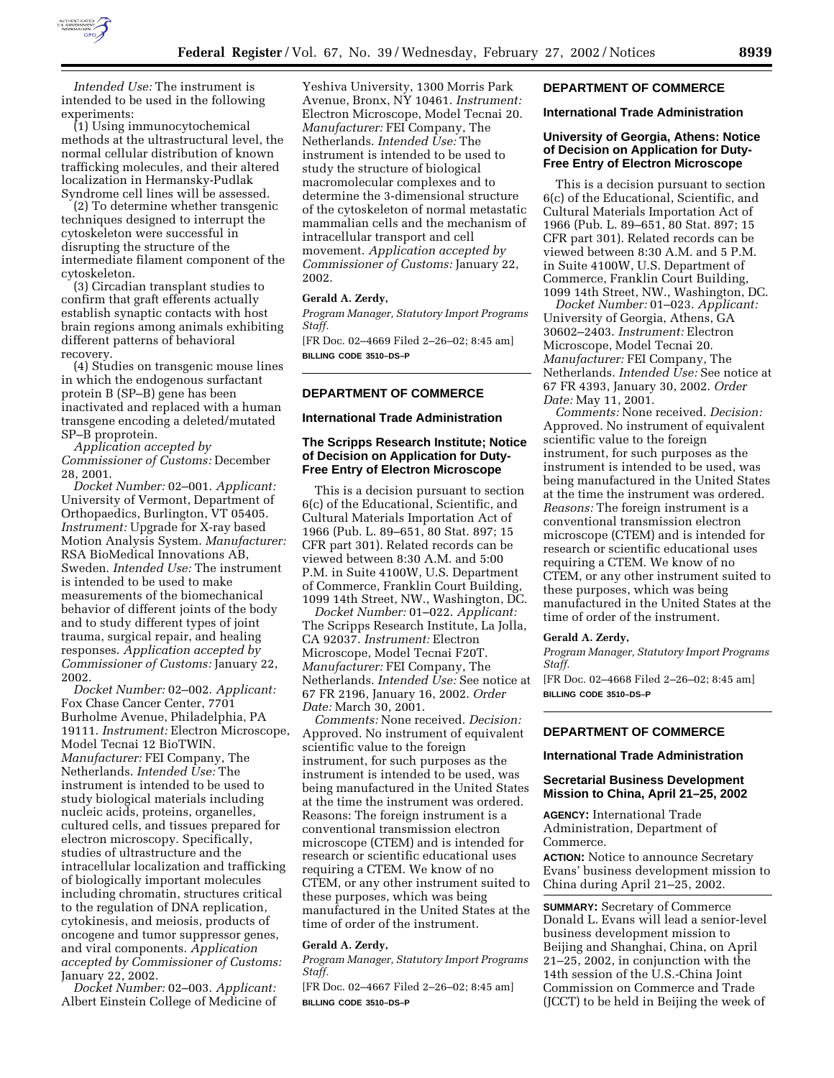

*Intended Use:* The instrument is intended to be used in the following experiments:

(1) Using immunocytochemical methods at the ultrastructural level, the normal cellular distribution of known trafficking molecules, and their altered localization in Hermansky-Pudlak Syndrome cell lines will be assessed.

(2) To determine whether transgenic techniques designed to interrupt the cytoskeleton were successful in disrupting the structure of the intermediate filament component of the cytoskeleton.

(3) Circadian transplant studies to confirm that graft efferents actually establish synaptic contacts with host brain regions among animals exhibiting different patterns of behavioral recovery.

(4) Studies on transgenic mouse lines in which the endogenous surfactant protein B (SP–B) gene has been inactivated and replaced with a human transgene encoding a deleted/mutated SP–B proprotein.

*Application accepted by Commissioner of Customs:* December 28, 2001.

*Docket Number:* 02–001. *Applicant:* University of Vermont, Department of Orthopaedics, Burlington, VT 05405. *Instrument:* Upgrade for X-ray based Motion Analysis System. *Manufacturer:* RSA BioMedical Innovations AB, Sweden. *Intended Use:* The instrument is intended to be used to make measurements of the biomechanical behavior of different joints of the body and to study different types of joint trauma, surgical repair, and healing responses. *Application accepted by Commissioner of Customs:* January 22, 2002.

*Docket Number:* 02–002. *Applicant:* Fox Chase Cancer Center, 7701 Burholme Avenue, Philadelphia, PA 19111. *Instrument:* Electron Microscope, Model Tecnai 12 BioTWIN. *Manufacturer:* FEI Company, The Netherlands. *Intended Use:* The instrument is intended to be used to study biological materials including nucleic acids, proteins, organelles, cultured cells, and tissues prepared for electron microscopy. Specifically, studies of ultrastructure and the intracellular localization and trafficking of biologically important molecules including chromatin, structures critical to the regulation of DNA replication, cytokinesis, and meiosis, products of oncogene and tumor suppressor genes, and viral components. *Application accepted by Commissioner of Customs:* January 22, 2002.

*Docket Number:* 02–003. *Applicant:* Albert Einstein College of Medicine of

Yeshiva University, 1300 Morris Park Avenue, Bronx, NY 10461. *Instrument:* Electron Microscope, Model Tecnai 20. *Manufacturer:* FEI Company, The Netherlands. *Intended Use:* The instrument is intended to be used to study the structure of biological macromolecular complexes and to determine the 3-dimensional structure of the cytoskeleton of normal metastatic mammalian cells and the mechanism of intracellular transport and cell movement. *Application accepted by Commissioner of Customs:* January 22, 2002.

## **Gerald A. Zerdy,**

*Program Manager, Statutory Import Programs Staff.*

[FR Doc. 02–4669 Filed 2–26–02; 8:45 am] **BILLING CODE 3510–DS–P**

### **DEPARTMENT OF COMMERCE**

#### **International Trade Administration**

### **The Scripps Research Institute; Notice of Decision on Application for Duty-Free Entry of Electron Microscope**

This is a decision pursuant to section 6(c) of the Educational, Scientific, and Cultural Materials Importation Act of 1966 (Pub. L. 89–651, 80 Stat. 897; 15 CFR part 301). Related records can be viewed between 8:30 A.M. and 5:00 P.M. in Suite 4100W, U.S. Department of Commerce, Franklin Court Building, 1099 14th Street, NW., Washington, DC.

*Docket Number:* 01–022. *Applicant:* The Scripps Research Institute, La Jolla, CA 92037. *Instrument:* Electron Microscope, Model Tecnai F20T. *Manufacturer:* FEI Company, The Netherlands. *Intended Use:* See notice at 67 FR 2196, January 16, 2002. *Order Date:* March 30, 2001.

*Comments:* None received. *Decision:* Approved. No instrument of equivalent scientific value to the foreign instrument, for such purposes as the instrument is intended to be used, was being manufactured in the United States at the time the instrument was ordered. Reasons: The foreign instrument is a conventional transmission electron microscope (CTEM) and is intended for research or scientific educational uses requiring a CTEM. We know of no CTEM, or any other instrument suited to these purposes, which was being manufactured in the United States at the time of order of the instrument.

#### **Gerald A. Zerdy,**

*Program Manager, Statutory Import Programs Staff.*

[FR Doc. 02–4667 Filed 2–26–02; 8:45 am] **BILLING CODE 3510–DS–P**

### **DEPARTMENT OF COMMERCE**

### **International Trade Administration**

## **University of Georgia, Athens: Notice of Decision on Application for Duty-Free Entry of Electron Microscope**

This is a decision pursuant to section 6(c) of the Educational, Scientific, and Cultural Materials Importation Act of 1966 (Pub. L. 89–651, 80 Stat. 897; 15 CFR part 301). Related records can be viewed between 8:30 A.M. and 5 P.M. in Suite 4100W, U.S. Department of Commerce, Franklin Court Building, 1099 14th Street, NW., Washington, DC.

*Docket Number:* 01–023. *Applicant:* University of Georgia, Athens, GA 30602–2403. *Instrument:* Electron Microscope, Model Tecnai 20. *Manufacturer:* FEI Company, The Netherlands. *Intended Use:* See notice at 67 FR 4393, January 30, 2002. *Order Date:* May 11, 2001.

*Comments:* None received. *Decision:* Approved. No instrument of equivalent scientific value to the foreign instrument, for such purposes as the instrument is intended to be used, was being manufactured in the United States at the time the instrument was ordered. *Reasons:* The foreign instrument is a conventional transmission electron microscope (CTEM) and is intended for research or scientific educational uses requiring a CTEM. We know of no CTEM, or any other instrument suited to these purposes, which was being manufactured in the United States at the time of order of the instrument.

#### **Gerald A. Zerdy,**

*Program Manager, Statutory Import Programs Staff.*

[FR Doc. 02–4668 Filed 2–26–02; 8:45 am] **BILLING CODE 3510–DS–P**

## **DEPARTMENT OF COMMERCE**

### **International Trade Administration**

### **Secretarial Business Development Mission to China, April 21–25, 2002**

**AGENCY:** International Trade Administration, Department of Commerce.

**ACTION:** Notice to announce Secretary Evans' business development mission to China during April 21–25, 2002.

**SUMMARY:** Secretary of Commerce Donald L. Evans will lead a senior-level business development mission to Beijing and Shanghai, China, on April 21–25, 2002, in conjunction with the 14th session of the U.S.-China Joint Commission on Commerce and Trade (JCCT) to be held in Beijing the week of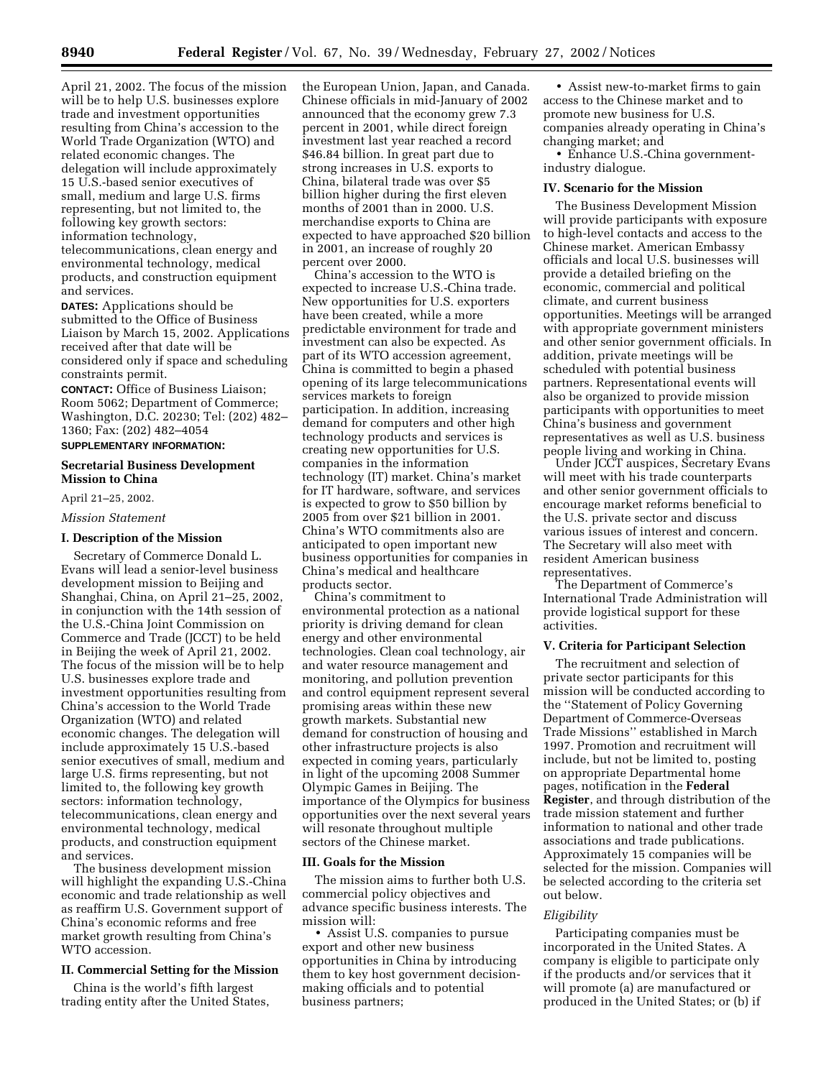April 21, 2002. The focus of the mission will be to help U.S. businesses explore trade and investment opportunities resulting from China's accession to the World Trade Organization (WTO) and related economic changes. The delegation will include approximately 15 U.S.-based senior executives of small, medium and large U.S. firms representing, but not limited to, the following key growth sectors: information technology, telecommunications, clean energy and

environmental technology, medical products, and construction equipment and services.

**DATES:** Applications should be submitted to the Office of Business Liaison by March 15, 2002. Applications received after that date will be considered only if space and scheduling constraints permit.

**CONTACT:** Office of Business Liaison; Room 5062; Department of Commerce; Washington, D.C. 20230; Tel: (202) 482– 1360; Fax: (202) 482–4054

#### **SUPPLEMENTARY INFORMATION:**

## **Secretarial Business Development Mission to China**

April 21–25, 2002.

*Mission Statement*

### **I. Description of the Mission**

Secretary of Commerce Donald L. Evans will lead a senior-level business development mission to Beijing and Shanghai, China, on April 21–25, 2002, in conjunction with the 14th session of the U.S.-China Joint Commission on Commerce and Trade (JCCT) to be held in Beijing the week of April 21, 2002. The focus of the mission will be to help U.S. businesses explore trade and investment opportunities resulting from China's accession to the World Trade Organization (WTO) and related economic changes. The delegation will include approximately 15 U.S.-based senior executives of small, medium and large U.S. firms representing, but not limited to, the following key growth sectors: information technology, telecommunications, clean energy and environmental technology, medical products, and construction equipment and services.

The business development mission will highlight the expanding U.S.-China economic and trade relationship as well as reaffirm U.S. Government support of China's economic reforms and free market growth resulting from China's WTO accession.

### **II. Commercial Setting for the Mission**

China is the world's fifth largest trading entity after the United States, the European Union, Japan, and Canada. Chinese officials in mid-January of 2002 announced that the economy grew 7.3 percent in 2001, while direct foreign investment last year reached a record \$46.84 billion. In great part due to strong increases in U.S. exports to China, bilateral trade was over \$5 billion higher during the first eleven months of 2001 than in 2000. U.S. merchandise exports to China are expected to have approached \$20 billion in 2001, an increase of roughly 20 percent over 2000.

China's accession to the WTO is expected to increase U.S.-China trade. New opportunities for U.S. exporters have been created, while a more predictable environment for trade and investment can also be expected. As part of its WTO accession agreement, China is committed to begin a phased opening of its large telecommunications services markets to foreign participation. In addition, increasing demand for computers and other high technology products and services is creating new opportunities for U.S. companies in the information technology (IT) market. China's market for IT hardware, software, and services is expected to grow to \$50 billion by 2005 from over \$21 billion in 2001. China's WTO commitments also are anticipated to open important new business opportunities for companies in China's medical and healthcare products sector.

China's commitment to environmental protection as a national priority is driving demand for clean energy and other environmental technologies. Clean coal technology, air and water resource management and monitoring, and pollution prevention and control equipment represent several promising areas within these new growth markets. Substantial new demand for construction of housing and other infrastructure projects is also expected in coming years, particularly in light of the upcoming 2008 Summer Olympic Games in Beijing. The importance of the Olympics for business opportunities over the next several years will resonate throughout multiple sectors of the Chinese market.

#### **III. Goals for the Mission**

The mission aims to further both U.S. commercial policy objectives and advance specific business interests. The mission will:

• Assist U.S. companies to pursue export and other new business opportunities in China by introducing them to key host government decisionmaking officials and to potential business partners;

• Assist new-to-market firms to gain access to the Chinese market and to promote new business for U.S. companies already operating in China's changing market; and

• Enhance U.S.-China governmentindustry dialogue.

### **IV. Scenario for the Mission**

The Business Development Mission will provide participants with exposure to high-level contacts and access to the Chinese market. American Embassy officials and local U.S. businesses will provide a detailed briefing on the economic, commercial and political climate, and current business opportunities. Meetings will be arranged with appropriate government ministers and other senior government officials. In addition, private meetings will be scheduled with potential business partners. Representational events will also be organized to provide mission participants with opportunities to meet China's business and government representatives as well as U.S. business people living and working in China.

Under JCCT auspices, Secretary Evans will meet with his trade counterparts and other senior government officials to encourage market reforms beneficial to the U.S. private sector and discuss various issues of interest and concern. The Secretary will also meet with resident American business representatives.

The Department of Commerce's International Trade Administration will provide logistical support for these activities.

## **V. Criteria for Participant Selection**

The recruitment and selection of private sector participants for this mission will be conducted according to the ''Statement of Policy Governing Department of Commerce-Overseas Trade Missions'' established in March 1997. Promotion and recruitment will include, but not be limited to, posting on appropriate Departmental home pages, notification in the **Federal Register**, and through distribution of the trade mission statement and further information to national and other trade associations and trade publications. Approximately 15 companies will be selected for the mission. Companies will be selected according to the criteria set out below.

#### *Eligibility*

Participating companies must be incorporated in the United States. A company is eligible to participate only if the products and/or services that it will promote (a) are manufactured or produced in the United States; or (b) if